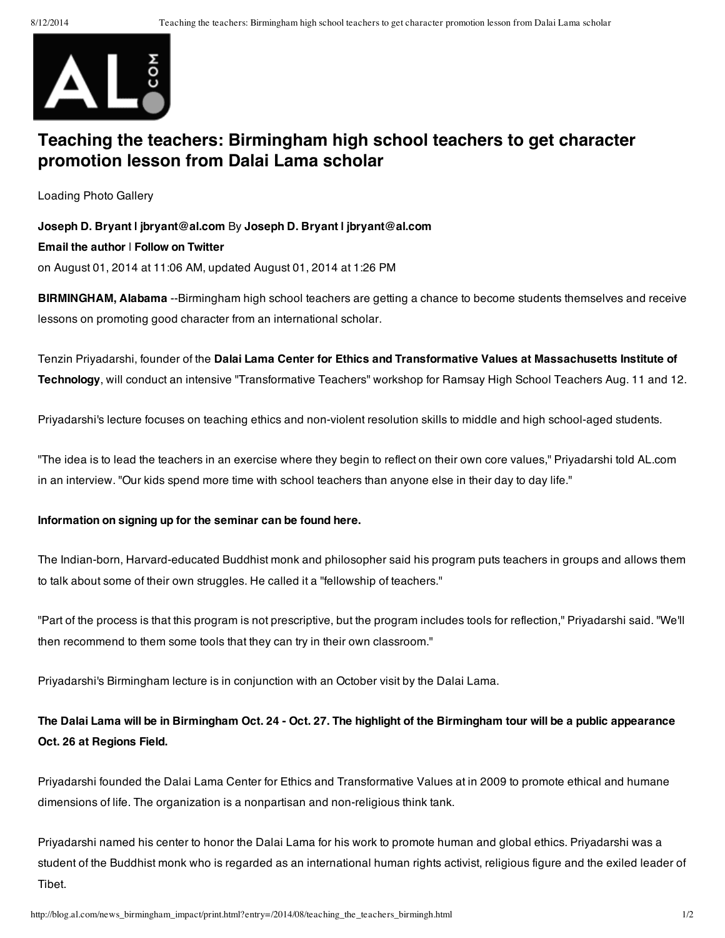

# **Teaching the teachers: Birmingham high school teachers to get character promotion lesson from Dalai Lama scholar**

Loading Photo Gallery

### **Joseph D. Bryant | jbryant@al.com** By **Joseph D. Bryant | jbryant@al.com**

#### **Email the author** | **Follow on Twitter**

on August 01, 2014 at 11:06 AM, updated August 01, 2014 at 1:26 PM

**BIRMINGHAM, Alabama** --Birmingham high school teachers are getting a chance to become students themselves and receive lessons on promoting good character from an international scholar.

Tenzin Priyadarshi, founder of the **Dalai Lama Center for Ethics and Transformative Values at Massachusetts Institute of Technology**, will conduct an intensive "Transformative Teachers" workshop for Ramsay High School Teachers Aug. 11 and 12.

Priyadarshi's lecture focuses on teaching ethics and non-violent resolution skills to middle and high school-aged students.

"The idea is to lead the teachers in an exercise where they begin to reflect on their own core values," Priyadarshi told AL.com in an interview. "Our kids spend more time with school teachers than anyone else in their day to day life."

#### **Information on signing up for the seminar can be found here.**

The Indian-born, Harvard-educated Buddhist monk and philosopher said his program puts teachers in groups and allows them to talk about some of their own struggles. He called it a "fellowship of teachers."

"Part of the process is that this program is not prescriptive, but the program includes tools for reflection," Priyadarshi said. "We'll then recommend to them some tools that they can try in their own classroom."

Priyadarshi's Birmingham lecture is in conjunction with an October visit by the Dalai Lama.

## The Dalai Lama will be in Birmingham Oct. 24 - Oct. 27. The highlight of the Birmingham tour will be a public appearance **Oct. 26 at Regions Field.**

Priyadarshi founded the Dalai Lama Center for Ethics and Transformative Values at in 2009 to promote ethical and humane dimensions of life. The organization is a nonpartisan and non-religious think tank.

Priyadarshi named his center to honor the Dalai Lama for his work to promote human and global ethics. Priyadarshi was a student of the Buddhist monk who is regarded as an international human rights activist, religious figure and the exiled leader of Tibet.